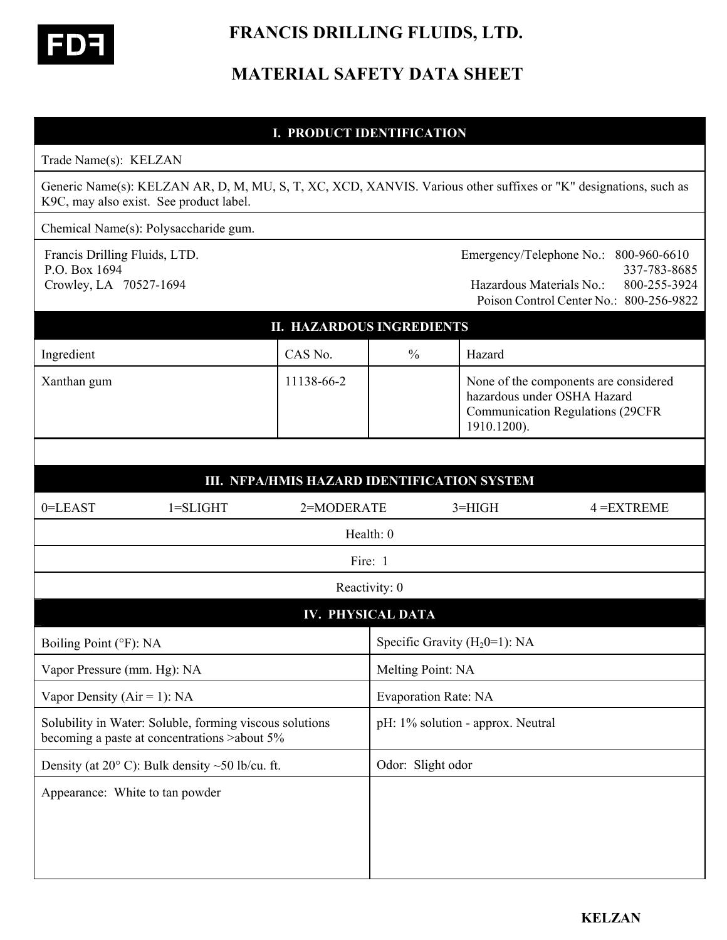

 **FRANCIS DRILLING FLUIDS, LTD.** 

# **MATERIAL SAFETY DATA SHEET**

## **I. PRODUCT IDENTIFICATION**

| Trade Name(s): KELZAN |  |
|-----------------------|--|
|-----------------------|--|

Generic Name(s): KELZAN AR, D, M, MU, S, T, XC, XCD, XANVIS. Various other suffixes or "K" designations, such as K9C, may also exist. See product label.

Chemical Name(s): Polysaccharide gum.

Francis Drilling Fluids, LTD. Emergency/Telephone No.: 800-960-6610 P.O. Box 1694 337-783-8685 Crowley, LA 70527-1694 Hazardous Materials No.: 800-255-3924 Poison Control Center No.: 800-256-9822

| <b>II. HAZARDOUS INGREDIENTS</b> |               |                                                                                                                                 |  |
|----------------------------------|---------------|---------------------------------------------------------------------------------------------------------------------------------|--|
| CAS No.                          | $\frac{0}{0}$ | Hazard                                                                                                                          |  |
| 11138-66-2                       |               | None of the components are considered<br>hazardous under OSHA Hazard<br><b>Communication Regulations (29CFR)</b><br>1910.1200). |  |
|                                  |               |                                                                                                                                 |  |

|                                 |                                                                                                          |            |                   | III. NFPA/HMIS HAZARD IDENTIFICATION SYSTEM |               |
|---------------------------------|----------------------------------------------------------------------------------------------------------|------------|-------------------|---------------------------------------------|---------------|
| $0 = LEAST$                     | $1 = SLIGHT$                                                                                             | 2=MODERATE |                   | $3 = HIGH$                                  | $4 = EXTREME$ |
| Health: 0                       |                                                                                                          |            |                   |                                             |               |
| Fire: 1                         |                                                                                                          |            |                   |                                             |               |
| Reactivity: 0                   |                                                                                                          |            |                   |                                             |               |
| <b>IV. PHYSICAL DATA</b>        |                                                                                                          |            |                   |                                             |               |
| Boiling Point (°F): NA          |                                                                                                          |            |                   | Specific Gravity $(H_20=1)$ : NA            |               |
| Vapor Pressure (mm. Hg): NA     |                                                                                                          |            | Melting Point: NA |                                             |               |
| Vapor Density ( $Air = 1$ ): NA |                                                                                                          |            |                   | <b>Evaporation Rate: NA</b>                 |               |
|                                 | Solubility in Water: Soluble, forming viscous solutions<br>becoming a paste at concentrations > about 5% |            |                   | pH: 1% solution - approx. Neutral           |               |
|                                 | Density (at $20^{\circ}$ C): Bulk density ~50 lb/cu. ft.                                                 |            | Odor: Slight odor |                                             |               |
| Appearance: White to tan powder |                                                                                                          |            |                   |                                             |               |
|                                 |                                                                                                          |            |                   |                                             |               |
|                                 |                                                                                                          |            |                   |                                             |               |
|                                 |                                                                                                          |            |                   |                                             |               |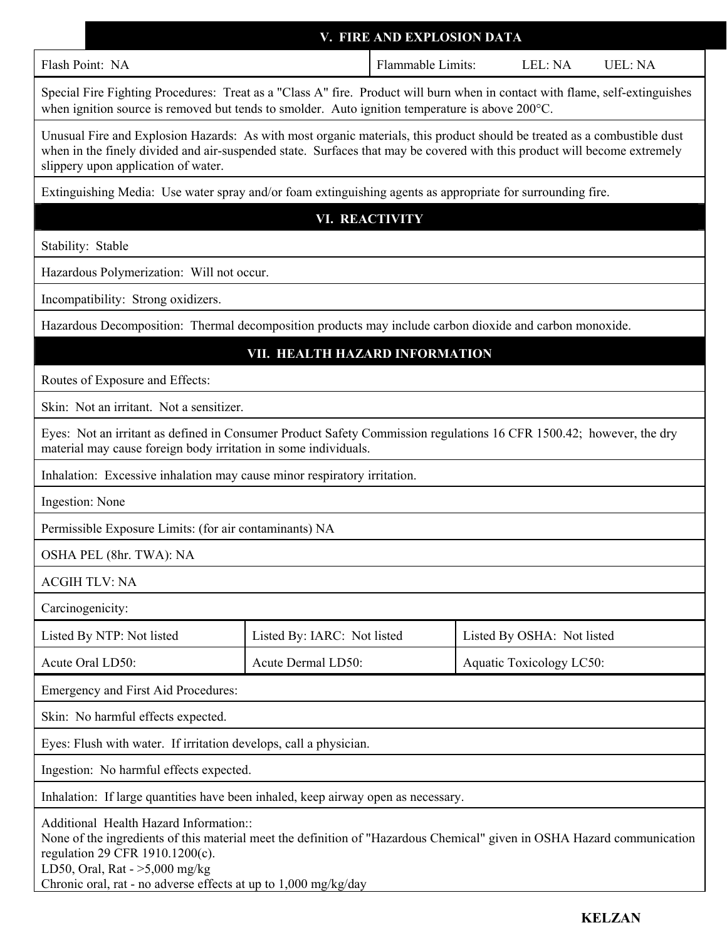|                                                                                                                                                                                                                                                                                                             | V. FIRE AND EXPLOSION DATA  |                            |         |                |
|-------------------------------------------------------------------------------------------------------------------------------------------------------------------------------------------------------------------------------------------------------------------------------------------------------------|-----------------------------|----------------------------|---------|----------------|
| Flash Point: NA                                                                                                                                                                                                                                                                                             | Flammable Limits:           |                            | LEL: NA | <b>UEL: NA</b> |
| Special Fire Fighting Procedures: Treat as a "Class A" fire. Product will burn when in contact with flame, self-extinguishes<br>when ignition source is removed but tends to smolder. Auto ignition temperature is above 200°C.                                                                             |                             |                            |         |                |
| Unusual Fire and Explosion Hazards: As with most organic materials, this product should be treated as a combustible dust<br>when in the finely divided and air-suspended state. Surfaces that may be covered with this product will become extremely<br>slippery upon application of water.                 |                             |                            |         |                |
| Extinguishing Media: Use water spray and/or foam extinguishing agents as appropriate for surrounding fire.                                                                                                                                                                                                  |                             |                            |         |                |
| <b>VI. REACTIVITY</b>                                                                                                                                                                                                                                                                                       |                             |                            |         |                |
| Stability: Stable                                                                                                                                                                                                                                                                                           |                             |                            |         |                |
| Hazardous Polymerization: Will not occur.                                                                                                                                                                                                                                                                   |                             |                            |         |                |
| Incompatibility: Strong oxidizers.                                                                                                                                                                                                                                                                          |                             |                            |         |                |
| Hazardous Decomposition: Thermal decomposition products may include carbon dioxide and carbon monoxide.                                                                                                                                                                                                     |                             |                            |         |                |
| VII. HEALTH HAZARD INFORMATION                                                                                                                                                                                                                                                                              |                             |                            |         |                |
| Routes of Exposure and Effects:                                                                                                                                                                                                                                                                             |                             |                            |         |                |
| Skin: Not an irritant. Not a sensitizer.                                                                                                                                                                                                                                                                    |                             |                            |         |                |
| Eyes: Not an irritant as defined in Consumer Product Safety Commission regulations 16 CFR 1500.42; however, the dry<br>material may cause foreign body irritation in some individuals.                                                                                                                      |                             |                            |         |                |
| Inhalation: Excessive inhalation may cause minor respiratory irritation.                                                                                                                                                                                                                                    |                             |                            |         |                |
| Ingestion: None                                                                                                                                                                                                                                                                                             |                             |                            |         |                |
| Permissible Exposure Limits: (for air contaminants) NA                                                                                                                                                                                                                                                      |                             |                            |         |                |
| OSHA PEL (8hr. TWA): NA                                                                                                                                                                                                                                                                                     |                             |                            |         |                |
| <b>ACGIH TLV: NA</b>                                                                                                                                                                                                                                                                                        |                             |                            |         |                |
| Carcinogenicity:                                                                                                                                                                                                                                                                                            |                             |                            |         |                |
| Listed By NTP: Not listed                                                                                                                                                                                                                                                                                   | Listed By: IARC: Not listed | Listed By OSHA: Not listed |         |                |
| Acute Oral LD50:                                                                                                                                                                                                                                                                                            | Acute Dermal LD50:          | Aquatic Toxicology LC50:   |         |                |
| Emergency and First Aid Procedures:                                                                                                                                                                                                                                                                         |                             |                            |         |                |
| Skin: No harmful effects expected.                                                                                                                                                                                                                                                                          |                             |                            |         |                |
| Eyes: Flush with water. If irritation develops, call a physician.                                                                                                                                                                                                                                           |                             |                            |         |                |
| Ingestion: No harmful effects expected.                                                                                                                                                                                                                                                                     |                             |                            |         |                |
| Inhalation: If large quantities have been inhaled, keep airway open as necessary.                                                                                                                                                                                                                           |                             |                            |         |                |
| Additional Health Hazard Information::<br>None of the ingredients of this material meet the definition of "Hazardous Chemical" given in OSHA Hazard communication<br>regulation 29 CFR 1910.1200(c).<br>LD50, Oral, Rat - $>5,000$ mg/kg<br>Chronic oral, rat - no adverse effects at up to 1,000 mg/kg/day |                             |                            |         |                |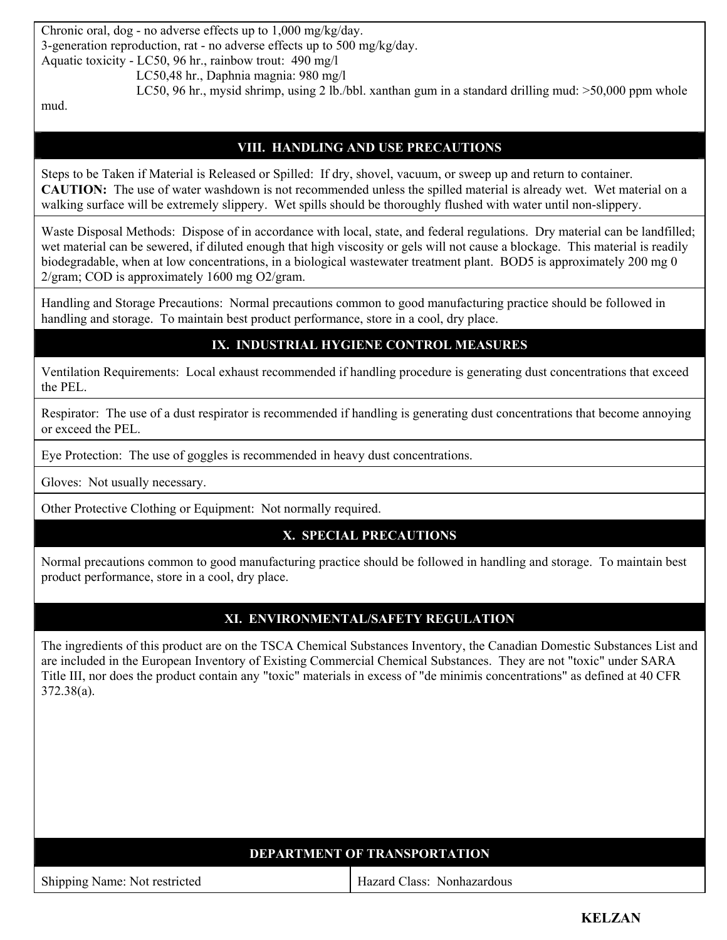Chronic oral, dog - no adverse effects up to 1,000 mg/kg/day. 3-generation reproduction, rat - no adverse effects up to 500 mg/kg/day. Aquatic toxicity - LC50, 96 hr., rainbow trout: 490 mg/l

LC50,48 hr., Daphnia magnia: 980 mg/l

LC50, 96 hr., mysid shrimp, using 2 lb./bbl. xanthan gum in a standard drilling mud: >50,000 ppm whole

mud.

### **VIII. HANDLING AND USE PRECAUTIONS**

Steps to be Taken if Material is Released or Spilled: If dry, shovel, vacuum, or sweep up and return to container. **CAUTION:** The use of water washdown is not recommended unless the spilled material is already wet. Wet material on a walking surface will be extremely slippery. Wet spills should be thoroughly flushed with water until non-slippery.

Waste Disposal Methods: Dispose of in accordance with local, state, and federal regulations. Dry material can be landfilled; wet material can be sewered, if diluted enough that high viscosity or gels will not cause a blockage. This material is readily biodegradable, when at low concentrations, in a biological wastewater treatment plant. BOD5 is approximately 200 mg 0 2/gram; COD is approximately 1600 mg O2/gram.

Handling and Storage Precautions: Normal precautions common to good manufacturing practice should be followed in handling and storage. To maintain best product performance, store in a cool, dry place.

### **IX. INDUSTRIAL HYGIENE CONTROL MEASURES**

Ventilation Requirements: Local exhaust recommended if handling procedure is generating dust concentrations that exceed the PEL.

Respirator: The use of a dust respirator is recommended if handling is generating dust concentrations that become annoying or exceed the PEL.

Eye Protection: The use of goggles is recommended in heavy dust concentrations.

Gloves: Not usually necessary.

Other Protective Clothing or Equipment: Not normally required.

### **X. SPECIAL PRECAUTIONS**

Normal precautions common to good manufacturing practice should be followed in handling and storage. To maintain best product performance, store in a cool, dry place.

#### **XI. ENVIRONMENTAL/SAFETY REGULATION**

The ingredients of this product are on the TSCA Chemical Substances Inventory, the Canadian Domestic Substances List and are included in the European Inventory of Existing Commercial Chemical Substances. They are not "toxic" under SARA Title III, nor does the product contain any "toxic" materials in excess of "de minimis concentrations" as defined at 40 CFR 372.38(a).

| <b>DEPARTMENT OF TRANSPORTATION</b> |                            |  |
|-------------------------------------|----------------------------|--|
| Shipping Name: Not restricted       | Hazard Class: Nonhazardous |  |